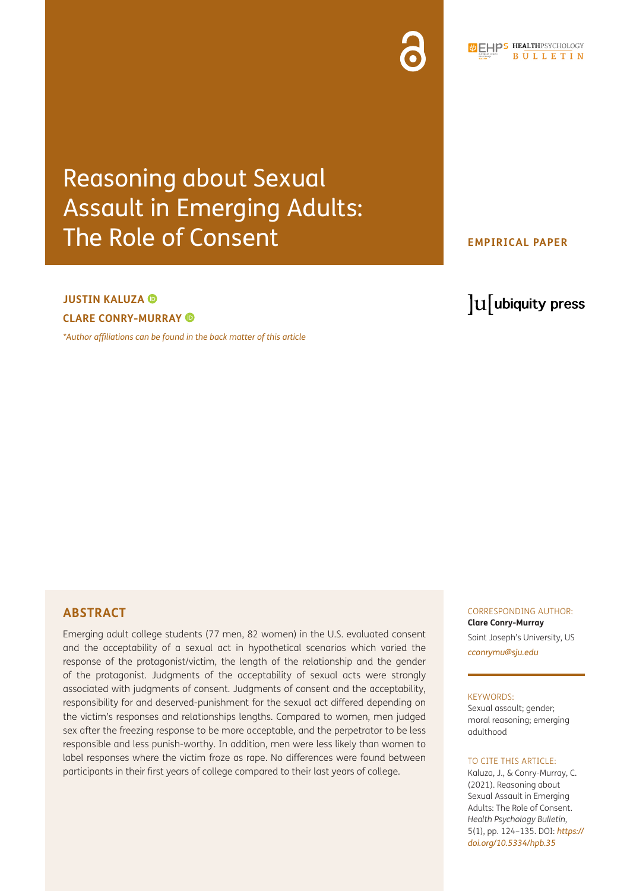# Reasoning about Sexual Assault in Emerging Adults: The Role of Consent

# **EMPIRICAL PAPER**

# **JUSTIN KALUZA CLARE CONRY-MURRAY**

*[\\*Author affiliations can be found in the back matter of this article](#page-9-0)*

lu ubiquity press

# **ABSTRACT**

Emerging adult college students (77 men, 82 women) in the U.S. evaluated consent and the acceptability of a sexual act in hypothetical scenarios which varied the response of the protagonist/victim, the length of the relationship and the gender of the protagonist. Judgments of the acceptability of sexual acts were strongly associated with judgments of consent. Judgments of consent and the acceptability, responsibility for and deserved-punishment for the sexual act differed depending on the victim's responses and relationships lengths. Compared to women, men judged sex after the freezing response to be more acceptable, and the perpetrator to be less responsible and less punish-worthy. In addition, men were less likely than women to label responses where the victim froze as rape. No differences were found between participants in their first years of college compared to their last years of college.

CORRESPONDING AUTHOR: **Clare Conry-Murray** Saint Joseph's University, US *[cconrymu@sju.edu](mailto:cconrymu@sju.edu)*

#### KEYWORDS:

Sexual assault; gender; moral reasoning; emerging adulthood

#### TO CITE THIS ARTICLE:

Kaluza, J., & Conry-Murray, C. (2021). Reasoning about Sexual Assault in Emerging Adults: The Role of Consent. *Health Psychology Bulletin,* 5(1), pp. 124–135. DOI: *[https://](https://doi.org/10.5334/hpb.35) [doi.org/10.5334/hpb.35](https://doi.org/10.5334/hpb.35)*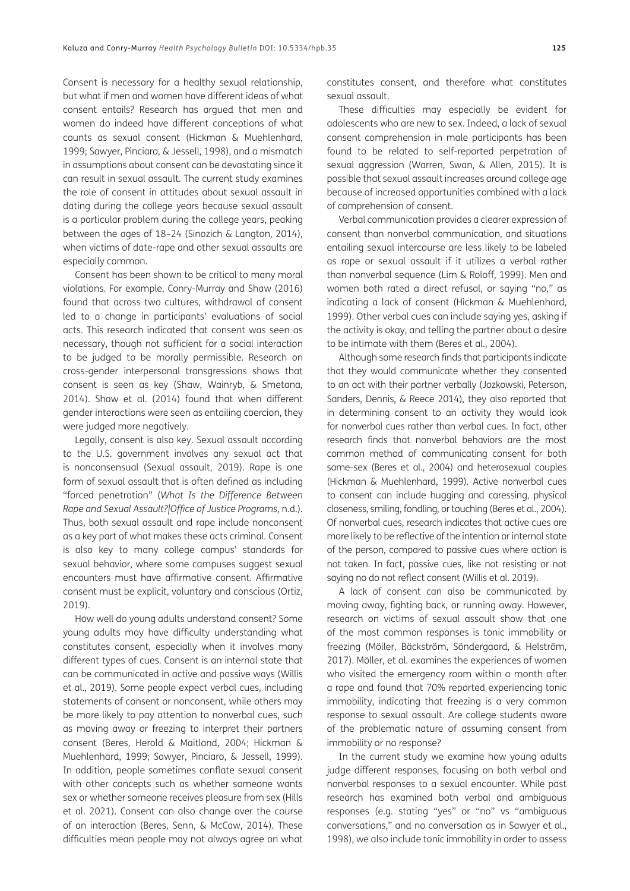Consent is necessary for a healthy sexual relationship, but what if men and women have different ideas of what consent entails? Research has argued that men and women do indeed have different conceptions of what counts as sexual consent (Hickman & Muehlenhard, 1999; Sawyer, Pinciaro, & Jessell, 1998), and a mismatch in assumptions about consent can be devastating since it can result in sexual assault. The current study examines the role of consent in attitudes about sexual assault in dating during the college years because sexual assault is a particular problem during the college years, peaking between the ages of 18–24 (Sinozich & Langton, 2014), when victims of date-rape and other sexual assaults are especially common.

Consent has been shown to be critical to many moral violations. For example, Conry-Murray and Shaw (2016) found that across two cultures, withdrawal of consent led to a change in participants' evaluations of social acts. This research indicated that consent was seen as necessary, though not sufficient for a social interaction to be judged to be morally permissible. Research on cross-gender interpersonal transgressions shows that consent is seen as key (Shaw, Wainryb, & Smetana, 2014). Shaw et al. (2014) found that when different gender interactions were seen as entailing coercion, they were judged more negatively.

Legally, consent is also key. Sexual assault according to the U.S. government involves any sexual act that is nonconsensual (Sexual assault, 2019). Rape is one form of sexual assault that is often defined as including "forced penetration" (*What Is the Difference Between Rape and Sexual Assault?|Office of Justice Programs*, n.d.). Thus, both sexual assault and rape include nonconsent as a key part of what makes these acts criminal. Consent is also key to many college campus' standards for sexual behavior, where some campuses suggest sexual encounters must have affirmative consent. Affirmative consent must be explicit, voluntary and conscious (Ortiz, 2019).

How well do young adults understand consent? Some young adults may have difficulty understanding what constitutes consent, especially when it involves many different types of cues. Consent is an internal state that can be communicated in active and passive ways (Willis et al., 2019). Some people expect verbal cues, including statements of consent or nonconsent, while others may be more likely to pay attention to nonverbal cues, such as moving away or freezing to interpret their partners consent (Beres, Herold & Maitland, 2004; Hickman & Muehlenhard, 1999; Sawyer, Pinciaro, & Jessell, 1999). In addition, people sometimes conflate sexual consent with other concepts such as whether someone wants sex or whether someone receives pleasure from sex (Hills et al. 2021). Consent can also change over the course of an interaction (Beres, Senn, & McCaw, 2014). These difficulties mean people may not always agree on what constitutes consent, and therefore what constitutes sexual assault.

These difficulties may especially be evident for adolescents who are new to sex. Indeed, a lack of sexual consent comprehension in male participants has been found to be related to self-reported perpetration of sexual aggression (Warren, Swan, & Allen, 2015). It is possible that sexual assault increases around college age because of increased opportunities combined with a lack of comprehension of consent.

Verbal communication provides a clearer expression of consent than nonverbal communication, and situations entailing sexual intercourse are less likely to be labeled as rape or sexual assault if it utilizes a verbal rather than nonverbal sequence (Lim & Roloff, 1999). Men and women both rated a direct refusal, or saying "no," as indicating a lack of consent (Hickman & Muehlenhard, 1999). Other verbal cues can include saying yes, asking if the activity is okay, and telling the partner about a desire to be intimate with them (Beres et al., 2004).

Although some research finds that participants indicate that they would communicate whether they consented to an act with their partner verbally (Jozkowski, Peterson, Sanders, Dennis, & Reece 2014), they also reported that in determining consent to an activity they would look for nonverbal cues rather than verbal cues. In fact, other research finds that nonverbal behaviors are the most common method of communicating consent for both same-sex (Beres et al., 2004) and heterosexual couples (Hickman & Muehlenhard, 1999). Active nonverbal cues to consent can include hugging and caressing, physical closeness, smiling, fondling, or touching (Beres et al., 2004). Of nonverbal cues, research indicates that active cues are more likely to be reflective of the intention or internal state of the person, compared to passive cues where action is not taken. In fact, passive cues, like not resisting or not saying no do not reflect consent (Willis et al. 2019).

A lack of consent can also be communicated by moving away, fighting back, or running away. However, research on victims of sexual assault show that one of the most common responses is tonic immobility or freezing (Möller, Bäckström, Söndergaard, & Helström, 2017). Möller, et al. examines the experiences of women who visited the emergency room within a month after a rape and found that 70% reported experiencing tonic immobility, indicating that freezing is a very common response to sexual assault. Are college students aware of the problematic nature of assuming consent from immobility or no response?

In the current study we examine how young adults judge different responses, focusing on both verbal and nonverbal responses to a sexual encounter. While past research has examined both verbal and ambiguous responses (e.g. stating "yes" or "no" vs "ambiguous conversations," and no conversation as in Sawyer et al., 1998), we also include tonic immobility in order to assess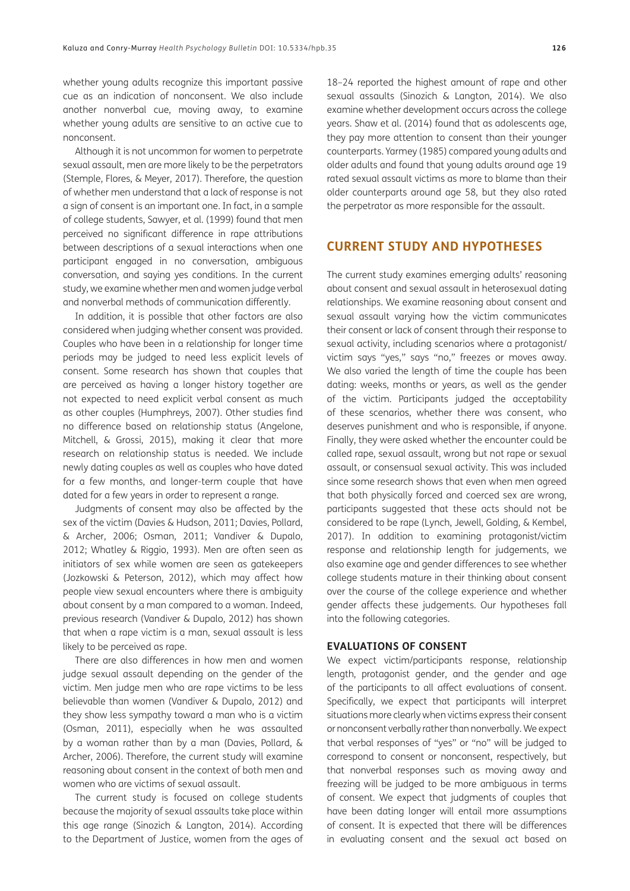whether young adults recognize this important passive cue as an indication of nonconsent. We also include another nonverbal cue, moving away, to examine whether young adults are sensitive to an active cue to nonconsent.

Although it is not uncommon for women to perpetrate sexual assault, men are more likely to be the perpetrators (Stemple, Flores, & Meyer, 2017). Therefore, the question of whether men understand that a lack of response is not a sign of consent is an important one. In fact, in a sample of college students, Sawyer, et al. (1999) found that men perceived no significant difference in rape attributions between descriptions of a sexual interactions when one participant engaged in no conversation, ambiguous conversation, and saying yes conditions. In the current study, we examine whether men and women judge verbal and nonverbal methods of communication differently.

In addition, it is possible that other factors are also considered when judging whether consent was provided. Couples who have been in a relationship for longer time periods may be judged to need less explicit levels of consent. Some research has shown that couples that are perceived as having a longer history together are not expected to need explicit verbal consent as much as other couples (Humphreys, 2007). Other studies find no difference based on relationship status (Angelone, Mitchell, & Grossi, 2015), making it clear that more research on relationship status is needed. We include newly dating couples as well as couples who have dated for a few months, and longer-term couple that have dated for a few years in order to represent a range.

Judgments of consent may also be affected by the sex of the victim (Davies & Hudson, 2011; Davies, Pollard, & Archer, 2006; Osman, 2011; Vandiver & Dupalo, 2012; Whatley & Riggio, 1993). Men are often seen as initiators of sex while women are seen as gatekeepers (Jozkowski & Peterson, 2012), which may affect how people view sexual encounters where there is ambiguity about consent by a man compared to a woman. Indeed, previous research (Vandiver & Dupalo, 2012) has shown that when a rape victim is a man, sexual assault is less likely to be perceived as rape.

There are also differences in how men and women judge sexual assault depending on the gender of the victim. Men judge men who are rape victims to be less believable than women (Vandiver & Dupalo, 2012) and they show less sympathy toward a man who is a victim (Osman, 2011), especially when he was assaulted by a woman rather than by a man (Davies, Pollard, & Archer, 2006). Therefore, the current study will examine reasoning about consent in the context of both men and women who are victims of sexual assault.

The current study is focused on college students because the majority of sexual assaults take place within this age range (Sinozich & Langton, 2014). According to the Department of Justice, women from the ages of

18–24 reported the highest amount of rape and other sexual assaults (Sinozich & Langton, 2014). We also examine whether development occurs across the college years. Shaw et al. (2014) found that as adolescents age, they pay more attention to consent than their younger counterparts. Yarmey (1985) compared young adults and older adults and found that young adults around age 19 rated sexual assault victims as more to blame than their older counterparts around age 58, but they also rated the perpetrator as more responsible for the assault.

# **CURRENT STUDY AND HYPOTHESES**

The current study examines emerging adults' reasoning about consent and sexual assault in heterosexual dating relationships. We examine reasoning about consent and sexual assault varying how the victim communicates their consent or lack of consent through their response to sexual activity, including scenarios where a protagonist/ victim says "yes," says "no," freezes or moves away. We also varied the length of time the couple has been dating: weeks, months or years, as well as the gender of the victim. Participants judged the acceptability of these scenarios, whether there was consent, who deserves punishment and who is responsible, if anyone. Finally, they were asked whether the encounter could be called rape, sexual assault, wrong but not rape or sexual assault, or consensual sexual activity. This was included since some research shows that even when men agreed that both physically forced and coerced sex are wrong, participants suggested that these acts should not be considered to be rape (Lynch, Jewell, Golding, & Kembel, 2017). In addition to examining protagonist/victim response and relationship length for judgements, we also examine age and gender differences to see whether college students mature in their thinking about consent over the course of the college experience and whether gender affects these judgements. Our hypotheses fall into the following categories.

#### **EVALUATIONS OF CONSENT**

We expect victim/participants response, relationship length, protagonist gender, and the gender and age of the participants to all affect evaluations of consent. Specifically, we expect that participants will interpret situations more clearly when victims express their consent or nonconsent verbally rather than nonverbally. We expect that verbal responses of "yes" or "no" will be judged to correspond to consent or nonconsent, respectively, but that nonverbal responses such as moving away and freezing will be judged to be more ambiguous in terms of consent. We expect that judgments of couples that have been dating longer will entail more assumptions of consent. It is expected that there will be differences in evaluating consent and the sexual act based on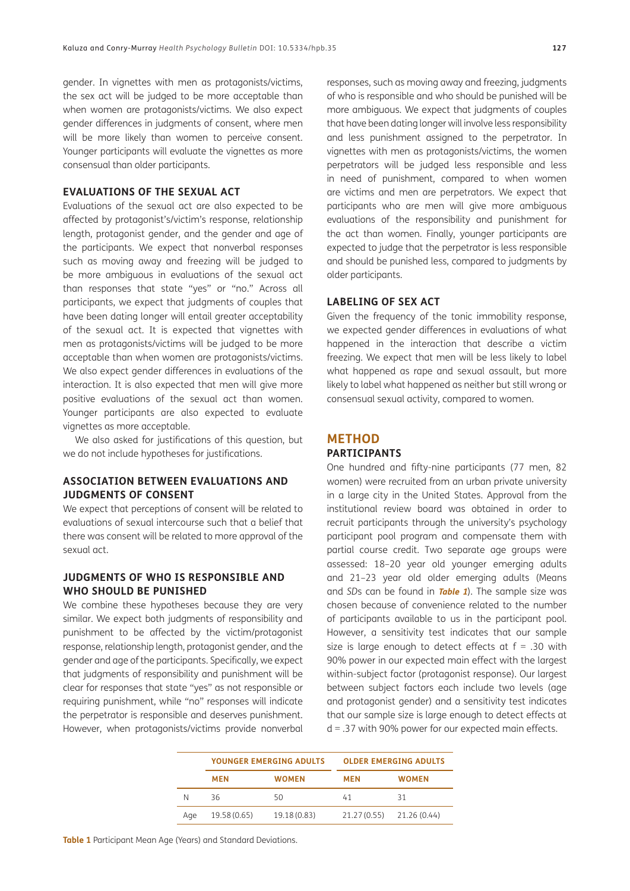gender. In vignettes with men as protagonists/victims, the sex act will be judged to be more acceptable than when women are protagonists/victims. We also expect gender differences in judgments of consent, where men will be more likely than women to perceive consent. Younger participants will evaluate the vignettes as more consensual than older participants.

# **EVALUATIONS OF THE SEXUAL ACT**

Evaluations of the sexual act are also expected to be affected by protagonist's/victim's response, relationship length, protagonist gender, and the gender and age of the participants. We expect that nonverbal responses such as moving away and freezing will be judged to be more ambiguous in evaluations of the sexual act than responses that state "yes" or "no." Across all participants, we expect that judgments of couples that have been dating longer will entail greater acceptability of the sexual act. It is expected that vignettes with men as protagonists/victims will be judged to be more acceptable than when women are protagonists/victims. We also expect gender differences in evaluations of the interaction. It is also expected that men will give more positive evaluations of the sexual act than women. Younger participants are also expected to evaluate vignettes as more acceptable.

We also asked for justifications of this question, but we do not include hypotheses for justifications.

# **ASSOCIATION BETWEEN EVALUATIONS AND JUDGMENTS OF CONSENT**

We expect that perceptions of consent will be related to evaluations of sexual intercourse such that a belief that there was consent will be related to more approval of the sexual act.

# **JUDGMENTS OF WHO IS RESPONSIBLE AND WHO SHOULD BE PUNISHED**

We combine these hypotheses because they are very similar. We expect both judgments of responsibility and punishment to be affected by the victim/protagonist response, relationship length, protagonist gender, and the gender and age of the participants. Specifically, we expect that judgments of responsibility and punishment will be clear for responses that state "yes" as not responsible or requiring punishment, while "no" responses will indicate the perpetrator is responsible and deserves punishment. However, when protagonists/victims provide nonverbal responses, such as moving away and freezing, judgments of who is responsible and who should be punished will be more ambiguous. We expect that judgments of couples that have been dating longer will involve less responsibility and less punishment assigned to the perpetrator. In vignettes with men as protagonists/victims, the women perpetrators will be judged less responsible and less in need of punishment, compared to when women are victims and men are perpetrators. We expect that participants who are men will give more ambiguous evaluations of the responsibility and punishment for the act than women. Finally, younger participants are expected to judge that the perpetrator is less responsible and should be punished less, compared to judgments by older participants.

#### **LABELING OF SEX ACT**

Given the frequency of the tonic immobility response, we expected gender differences in evaluations of what happened in the interaction that describe a victim freezing. We expect that men will be less likely to label what happened as rape and sexual assault, but more likely to label what happened as neither but still wrong or consensual sexual activity, compared to women.

# **METHOD PARTICIPANTS**

One hundred and fifty-nine participants (77 men, 82 women) were recruited from an urban private university in a large city in the United States. Approval from the institutional review board was obtained in order to recruit participants through the university's psychology participant pool program and compensate them with partial course credit. Two separate age groups were assessed: 18–20 year old younger emerging adults and 21–23 year old older emerging adults (Means and *SD*s can be found in **[Table 1](#page-3-0)**). The sample size was chosen because of convenience related to the number of participants available to us in the participant pool. However, a sensitivity test indicates that our sample size is large enough to detect effects at  $f = .30$  with 90% power in our expected main effect with the largest within-subject factor (protagonist response). Our largest between subject factors each include two levels (age and protagonist gender) and a sensitivity test indicates that our sample size is large enough to detect effects at d = .37 with 90% power for our expected main effects.

<span id="page-3-0"></span>

|     |              | <b>YOUNGER EMERGING ADULTS</b> | <b>OLDER EMERGING ADULTS</b> |                           |  |  |
|-----|--------------|--------------------------------|------------------------------|---------------------------|--|--|
|     | <b>MEN</b>   | <b>WOMEN</b>                   |                              | <b>WOMEN</b>              |  |  |
| N   | 36           | 50                             | 41                           | 31                        |  |  |
| Age | 19.58 (0.65) | 19.18 (0.83)                   |                              | 21.27 (0.55) 21.26 (0.44) |  |  |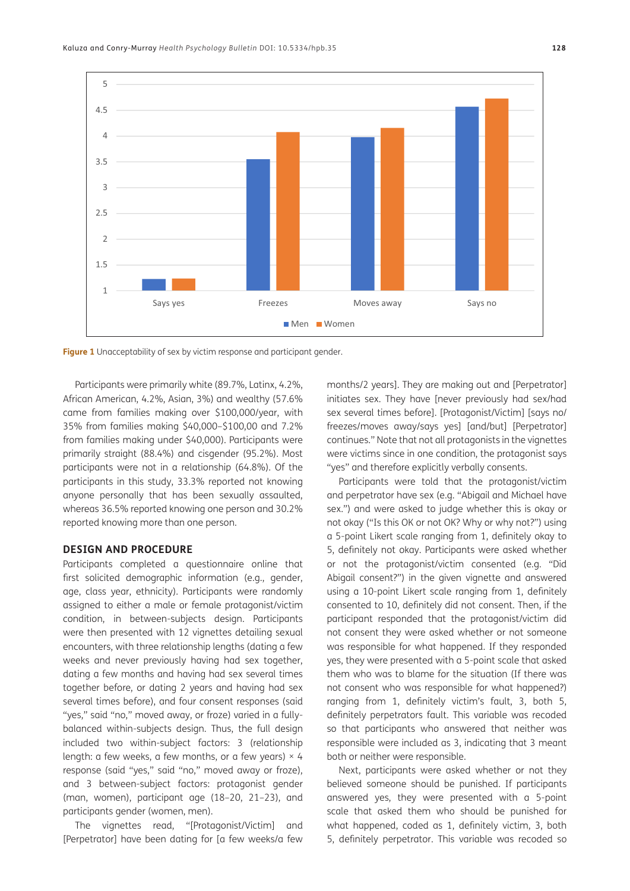

<span id="page-4-0"></span>**Figure 1** Unacceptability of sex by victim response and participant gender.

Participants were primarily white (89.7%, Latinx, 4.2%, African American, 4.2%, Asian, 3%) and wealthy (57.6% came from families making over \$100,000/year, with 35% from families making \$40,000–\$100,00 and 7.2% from families making under \$40,000). Participants were primarily straight (88.4%) and cisgender (95.2%). Most participants were not in a relationship (64.8%). Of the participants in this study, 33.3% reported not knowing anyone personally that has been sexually assaulted, whereas 36.5% reported knowing one person and 30.2% reported knowing more than one person.

#### **DESIGN AND PROCEDURE**

Participants completed a questionnaire online that first solicited demographic information (e.g., gender, age, class year, ethnicity). Participants were randomly assigned to either a male or female protagonist/victim condition, in between-subjects design. Participants were then presented with 12 vignettes detailing sexual encounters, with three relationship lengths (dating a few weeks and never previously having had sex together, dating a few months and having had sex several times together before, or dating 2 years and having had sex several times before), and four consent responses (said "yes," said "no," moved away, or froze) varied in a fullybalanced within-subjects design. Thus, the full design included two within-subject factors: 3 (relationship length: a few weeks, a few months, or a few years)  $\times$  4 response (said "yes," said "no," moved away or froze), and 3 between-subject factors: protagonist gender (man, women), participant age (18–20, 21–23), and participants gender (women, men).

The vignettes read, "[Protagonist/Victim] and [Perpetrator] have been dating for [a few weeks/a few

months/2 years]. They are making out and [Perpetrator] initiates sex. They have [never previously had sex/had sex several times before]. [Protagonist/Victim] [says no/ freezes/moves away/says yes] [and/but] [Perpetrator] continues." Note that not all protagonists in the vignettes were victims since in one condition, the protagonist says "yes" and therefore explicitly verbally consents.

Participants were told that the protagonist/victim and perpetrator have sex (e.g. "Abigail and Michael have sex.") and were asked to judge whether this is okay or not okay ("Is this OK or not OK? Why or why not?") using a 5-point Likert scale ranging from 1, definitely okay to 5, definitely not okay. Participants were asked whether or not the protagonist/victim consented (e.g. "Did Abigail consent?") in the given vignette and answered using a 10-point Likert scale ranging from 1, definitely consented to 10, definitely did not consent. Then, if the participant responded that the protagonist/victim did not consent they were asked whether or not someone was responsible for what happened. If they responded yes, they were presented with a 5-point scale that asked them who was to blame for the situation (If there was not consent who was responsible for what happened?) ranging from 1, definitely victim's fault, 3, both 5, definitely perpetrators fault. This variable was recoded so that participants who answered that neither was responsible were included as 3, indicating that 3 meant both or neither were responsible.

Next, participants were asked whether or not they believed someone should be punished. If participants answered yes, they were presented with a 5-point scale that asked them who should be punished for what happened, coded as 1, definitely victim, 3, both 5, definitely perpetrator. This variable was recoded so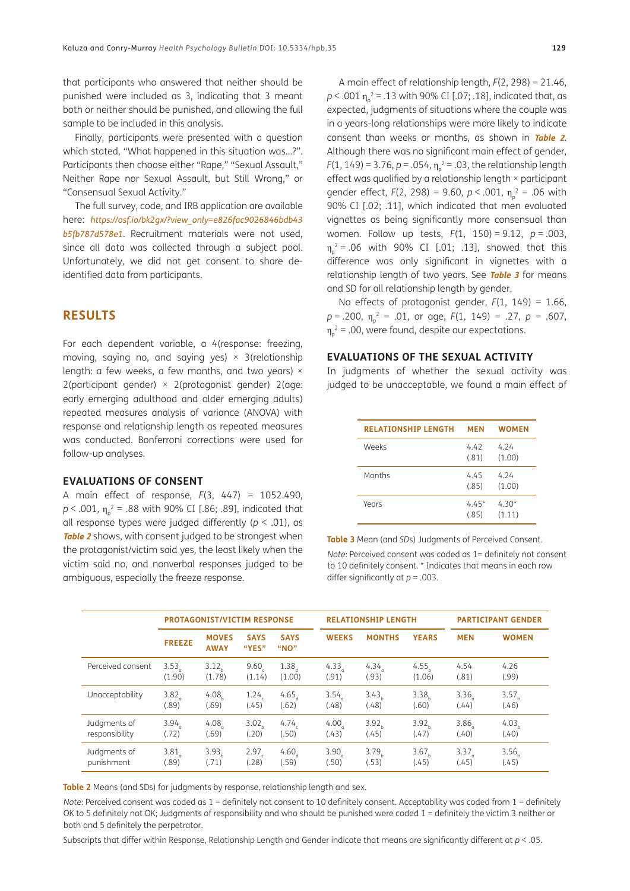that participants who answered that neither should be punished were included as 3, indicating that 3 meant both or neither should be punished, and allowing the full sample to be included in this analysis.

Finally, participants were presented with a question which stated, "What happened in this situation was…?". Participants then choose either "Rape," "Sexual Assault," Neither Rape nor Sexual Assault, but Still Wrong," or "Consensual Sexual Activity."

The full survey, code, and IRB application are available here: *[https://osf.io/bk2gx/?view\\_only=e826fac9026846bdb43](https://osf.io/bk2gx/?view_only=e826fac9026846bdb43b5fb787d578e1) [b5fb787d578e1](https://osf.io/bk2gx/?view_only=e826fac9026846bdb43b5fb787d578e1)*. Recruitment materials were not used, since all data was collected through a subject pool. Unfortunately, we did not get consent to share deidentified data from participants.

# **RESULTS**

For each dependent variable, a 4(response: freezing, moving, saying no, and saying yes)  $\times$  3(relationship length: a few weeks, a few months, and two years)  $\times$ 2(participant gender)  $\times$  2(protagonist gender) 2(age: early emerging adulthood and older emerging adults) repeated measures analysis of variance (ANOVA) with response and relationship length as repeated measures was conducted. Bonferroni corrections were used for follow-up analyses.

#### **EVALUATIONS OF CONSENT**

A main effect of response, *F*(3, 447) = 1052.490,  $p < .001$ ,  $\eta_p^2 = .88$  with 90% CI [.86; .89], indicated that all response types were judged differently (*p* < .01), as **[Table 2](#page-5-0)** shows, with consent judged to be strongest when the protagonist/victim said yes, the least likely when the victim said no, and nonverbal responses judged to be ambiguous, especially the freeze response.

A main effect of relationship length, *F*(2, 298) = 21.46, *p* < .001 η<sub>ρ</sub> <sup>2</sup> = .13 with 90% CI [.07; .18], indicated that, as expected, judgments of situations where the couple was in a years-long relationships were more likely to indicate consent than weeks or months, as shown in **[Table 2](#page-5-0)**. Although there was no significant main effect of gender, *F*(1, 149) = 3.76, *p* = .054,  $\eta_{p}^{2}$  = .03, the relationship length effect was qualified by a relationship length × participant gender effect, *F*(2, 298) = 9.60, *p* < .001,  $η<sub>p</sub><sup>2</sup> = .06$  with 90% CI [.02; .11], which indicated that men evaluated vignettes as being significantly more consensual than women. Follow up tests, *F*(1, 150) = 9.12, *p* = .003,  $\eta_{p}^2$  = .06 with 90% CI [.01; .13], showed that this difference was only significant in vignettes with a relationship length of two years. See **[Table 3](#page-5-1)** for means and SD for all relationship length by gender.

No effects of protagonist gender, *F*(1, 149) = 1.66, *p* = .200,  $η<sub>p</sub><sup>2</sup>$  = .01, or age, *F*(1, 149) = .27, *p* = .607,  $\eta_{\rm p}^{\;\;\gamma}$  = .00, were found, despite our expectations.

#### **EVALUATIONS OF THE SEXUAL ACTIVITY**

In judgments of whether the sexual activity was judged to be unacceptable, we found a main effect of

| <b>RELATIONSHIP LENGTH</b> | <b>MEN</b>       | <b>WOMEN</b>      |
|----------------------------|------------------|-------------------|
| <b>Weeks</b>               | 442<br>(.81)     | 4.74<br>(1.00)    |
| Months                     | 445<br>(.85)     | 4.74<br>(1.00)    |
| Years                      | $4.45*$<br>(.85) | $4.30*$<br>(1.11) |

<span id="page-5-1"></span>**Table 3** Mean (and *SD*s) Judgments of Perceived Consent. *Note*: Perceived consent was coded as 1= definitely not consent to 10 definitely consent. \* Indicates that means in each row differ significantly at  $p = .003$ .

|                   | <b>PROTAGONIST/VICTIM RESPONSE</b> |                             |                      | <b>RELATIONSHIP LENGTH</b> |                   |                   | <b>PARTICIPANT GENDER</b> |                   |                   |
|-------------------|------------------------------------|-----------------------------|----------------------|----------------------------|-------------------|-------------------|---------------------------|-------------------|-------------------|
|                   | <b>FREEZE</b>                      | <b>MOVES</b><br><b>AWAY</b> | <b>SAYS</b><br>"YES" | <b>SAYS</b><br>"NO"        | <b>WEEKS</b>      | <b>MONTHS</b>     | <b>YEARS</b>              | <b>MEN</b>        | <b>WOMEN</b>      |
| Perceived consent | 3.53                               | 3.12 <sub>h</sub>           | 9.60                 | 1.38 <sub>a</sub>          | 4.33 <sub>a</sub> | 4.34 <sub>a</sub> | 4.55 <sub>h</sub>         | 4.54              | 4.26              |
|                   | (1.90)                             | (1.78)                      | (1.14)               | (1.00)                     | (.91)             | (.93)             | (1.06)                    | (.81)             | (.99)             |
| Unacceptability   | 3.82                               | 4.08 <sub>h</sub>           | 1.24                 | 4.65                       | 3.54              | 3.43 <sub>u</sub> | 3.38 <sub>1</sub>         | 3.36              | 3.57 <sub>h</sub> |
|                   | (.89)                              | (.69)                       | (.45)                | (.62)                      | (.48)             | (.48)             | (.60)                     | (.44)             | (.46)             |
| Judgments of      | 3.94                               | 4.08 <sub>g</sub>           | 3.02 <sub>b</sub>    | 4.74                       | 4.00              | 3.92 <sub>h</sub> | 3.92 <sub>h</sub>         | 3.86              | 4.03 <sub>b</sub> |
| responsibility    | (.72)                              | (.69)                       | (.20)                | (.50)                      | (.43)             | (.45)             | (.47)                     | (.40)             | (.40)             |
| Judgments of      | 3.81                               | 3.93 <sub>b</sub>           | 2.97 <sub>c</sub>    | $4.60_{\mu}$               | 3.90              | 3.79 <sub>h</sub> | 3.67 <sub>b</sub>         | 3.37 <sub>a</sub> | 3.56 <sub>k</sub> |
| punishment        | (.89)                              | (.71)                       | (28)                 | (.59)                      | (.50)             | (.53)             | (.45)                     | (.45)             | (.45)             |

<span id="page-5-0"></span>**Table 2** Means (and SDs) for judgments by response, relationship length and sex.

*Note*: Perceived consent was coded as 1 = definitely not consent to 10 definitely consent. Acceptability was coded from 1 = definitely OK to 5 definitely not OK; Judgments of responsibility and who should be punished were coded 1 = definitely the victim 3 neither or both and 5 definitely the perpetrator.

Subscripts that differ within Response, Relationship Length and Gender indicate that means are significantly different at *p* < .05.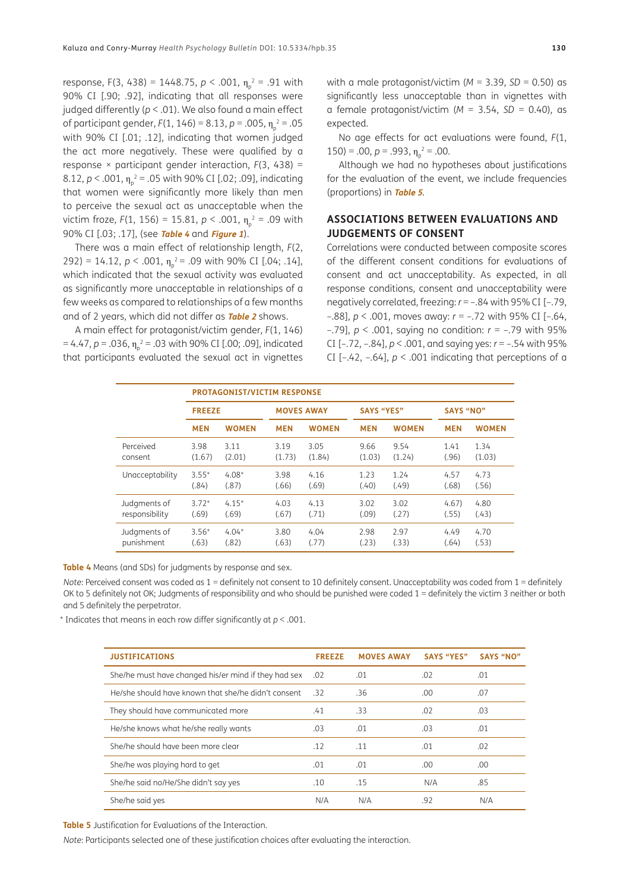response, F(3, 438) = 1448.75, *p* < .001,  $η<sub>p</sub><sup>2</sup> = .91$  with 90% CI [.90; .92], indicating that all responses were judged differently (*p* < .01). We also found a main effect of participant gender, *F*(1, 146) = 8.13, *p* = .005, η<sub>ρ</sub><sup>2</sup> = .05 with 90% CI [.01; .12], indicating that women judged the act more negatively. These were qualified by a response × participant gender interaction, *F*(3, 438) = 8.12, *p* < .001, η<sub>ρ</sub><sup>2</sup> = .05 with 90% CI [.02; .09], indicating that women were significantly more likely than men to perceive the sexual act as unacceptable when the victim froze, *F*(1, 156) = 15.81, *p* < .001,  $η<sub>p</sub><sup>2</sup> = .09$  with 90% CI [.03; .17], (see **[Table 4](#page-6-0)** and **[Figure 1](#page-4-0)**).

There was a main effect of relationship length, *F*(2, 292) = 14.12,  $p < .001$ ,  $\eta_p^2 = .09$  with 90% CI [.04; .14], which indicated that the sexual activity was evaluated as significantly more unacceptable in relationships of a few weeks as compared to relationships of a few months and of 2 years, which did not differ as **[Table 2](#page-5-0)** shows.

A main effect for protagonist/victim gender, *F*(1, 146) = 4.47, *p* = .036, η<sub>ρ</sub><sup>2</sup> = .03 with 90% CI [.00; .09], indicated that participants evaluated the sexual act in vignettes

with a male protagonist/victim ( $M = 3.39$ ,  $SD = 0.50$ ) as significantly less unacceptable than in vignettes with a female protagonist/victim (*M* = 3.54, *SD* = 0.40), as expected.

No age effects for act evaluations were found, *F*(1, 150) = .00,  $p = .993$ ,  $\eta_p^2 = .00$ .

Although we had no hypotheses about justifications for the evaluation of the event, we include frequencies (proportions) in **[Table 5](#page-6-1)**.

### **ASSOCIATIONS BETWEEN EVALUATIONS AND JUDGEMENTS OF CONSENT**

Correlations were conducted between composite scores of the different consent conditions for evaluations of consent and act unacceptability. As expected, in all response conditions, consent and unacceptability were negatively correlated, freezing: *r* = –.84 with 95% CI [–.79, –.88], *p* < .001, moves away: *r* = –.72 with 95% CI [–.64, –.79], *p* < .001, saying no condition: *r* = –.79 with 95% CI [–.72, –.84], *p* < .001, and saying yes: *r* = –.54 with 95% CI  $[-.42, -0.64]$ ,  $p < 0.001$  indicating that perceptions of a

|                 | <b>PROTAGONIST/VICTIM RESPONSE</b> |              |                   |              |                   |              |                  |              |
|-----------------|------------------------------------|--------------|-------------------|--------------|-------------------|--------------|------------------|--------------|
|                 | <b>FREEZE</b>                      |              | <b>MOVES AWAY</b> |              | <b>SAYS "YES"</b> |              | <b>SAYS "NO"</b> |              |
|                 | <b>MEN</b>                         | <b>WOMEN</b> | <b>MEN</b>        | <b>WOMEN</b> | <b>MEN</b>        | <b>WOMEN</b> | <b>MEN</b>       | <b>WOMEN</b> |
| Perceived       | 3.98                               | 3.11         | 3.19              | 3.05         | 9.66              | 9.54         | 1.41             | 1.34         |
| consent         | (1.67)                             | (2.01)       | (1.73)            | (1.84)       | (1.03)            | (1.24)       | (.96)            | (1.03)       |
| Unacceptability | $3.55*$                            | $4.08*$      | 3.98              | 4.16         | 1.23              | 1.24         | 4.57             | 4.73         |
|                 | (.84)                              | (.87)        | (.66)             | (.69)        | (.40)             | (.49)        | (.68)            | (.56)        |
| Judgments of    | $3.72*$                            | $4.15*$      | 4.03              | 4.13         | 3.02              | 3.02         | 4.67             | 4.80         |
| responsibility  | (.69)                              | (.69)        | (.67)             | (.71)        | (.09)             | (.27)        | (.55)            | (.43)        |
| Judgments of    | $3.56*$                            | $4.04*$      | 3.80              | 4.04         | 2.98              | 2.97         | 4.49             | 4.70         |
| punishment      | (.63)                              | (.82)        | (.63)             | (.77)        | (.23)             | (.33)        | (.64)            | (.53)        |

<span id="page-6-0"></span>**Table 4** Means (and SDs) for judgments by response and sex.

*Note: Perceived consent was coded as 1* = definitely not consent to 10 definitely consent. Unacceptability was coded from 1 = definitely OK to 5 definitely not OK; Judgments of responsibility and who should be punished were coded 1 = definitely the victim 3 neither or both and 5 definitely the perpetrator.

\* Indicates that means in each row differ significantly at *p* < .001.

| <b>JUSTIFICATIONS</b>                                | <b>FREEZE</b> | <b>MOVES AWAY</b> | <b>SAYS "YES"</b> | <b>SAYS "NO"</b> |
|------------------------------------------------------|---------------|-------------------|-------------------|------------------|
| She/he must have changed his/er mind if they had sex | .02           | .01               | .02               | .01              |
| He/she should have known that she/he didn't consent  | .32           | .36               | .00               | .07              |
| They should have communicated more                   | .41           | .33               | .02               | .03              |
| He/she knows what he/she really wants                | .03           | .01               | .03               | .01              |
| She/he should have been more clear                   | .12           | .11               | .01               | .02              |
| She/he was playing hard to get                       | .01           | .01               | .00               | .00              |
| She/he said no/He/She didn't say yes                 | .10           | .15               | N/A               | .85              |
| She/he said yes                                      | N/A           | N/A               | .92               | N/A              |

<span id="page-6-1"></span>**Table 5** Justification for Evaluations of the Interaction.

*Note*: Participants selected one of these justification choices after evaluating the interaction.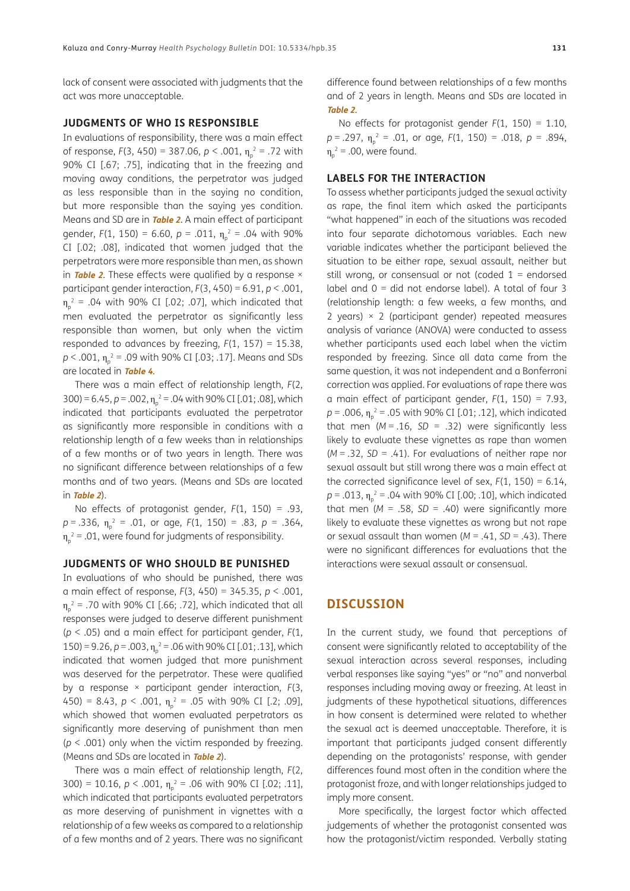lack of consent were associated with judgments that the act was more unacceptable.

#### **JUDGMENTS OF WHO IS RESPONSIBLE**

In evaluations of responsibility, there was a main effect of response, *F*(3, 450) = 387.06, *p* < .001,  $η<sub>p</sub><sup>2</sup> = .72$  with 90% CI [.67; .75], indicating that in the freezing and moving away conditions, the perpetrator was judged as less responsible than in the saying no condition, but more responsible than the saying yes condition. Means and SD are in **[Table 2](#page-5-0)**. A main effect of participant gender, F(1, 150) = 6.60, *p* = .011,  $\eta_{p}^{2}$  = .04 with 90% CI [.02; .08], indicated that women judged that the perpetrators were more responsible than men, as shown in **[Table 2](#page-5-0)**. These effects were qualified by a response × participant gender interaction, *F*(3, 450) = 6.91, *p* < .001,  $\eta_{p}^2$  = .04 with 90% CI [.02; .07], which indicated that men evaluated the perpetrator as significantly less responsible than women, but only when the victim responded to advances by freezing, *F*(1, 157) = 15.38, *p* < .001, η<sub>ρ</sub><sup>2</sup> = .09 with 90% CI [.03; .17]. Means and SDs are located in **[Table 4](#page-6-0)**.

There was a main effect of relationship length, *F*(2, 300) = 6.45, *p* = .002,  $\eta_p^2$  = .04 with 90% CI [.01; .08], which indicated that participants evaluated the perpetrator as significantly more responsible in conditions with a relationship length of a few weeks than in relationships of a few months or of two years in length. There was no significant difference between relationships of a few months and of two years. (Means and SDs are located in **[Table 2](#page-5-0)**).

No effects of protagonist gender, *F*(1, 150) = .93, *p* = .336, η<sup>p</sup> 2 = .01, or age, *F*(1, 150) = .83, *p* = .364,  $\eta_{\text{\tiny p}}^{\text{\tiny -2}}$  = .01, were found for judgments of responsibility.

#### **JUDGMENTS OF WHO SHOULD BE PUNISHED**

In evaluations of who should be punished, there was a main effect of response, *F*(3, 450) = 345.35, *p* < .001,  $\eta_{\text{p}}^2$  = .70 with 90% CI [.66; .72], which indicated that all responses were judged to deserve different punishment (*p* < .05) and a main effect for participant gender, *F*(1, 150) = 9.26, *p* = .003, η<sub>ρ</sub><sup>2</sup> = .06 with 90% CI [.01; .13], which indicated that women judged that more punishment was deserved for the perpetrator. These were qualified by a response × participant gender interaction, *F*(3, 450) = 8.43,  $p < .001$ ,  $\eta_p^2 = .05$  with 90% CI [.2; .09], which showed that women evaluated perpetrators as significantly more deserving of punishment than men (*p* < .001) only when the victim responded by freezing. (Means and SDs are located in **[Table](#page-5-0) <sup>2</sup>**).

There was a main effect of relationship length, *F*(2, 300) = 10.16,  $p < .001$ ,  $\eta_p^2 = .06$  with 90% CI [.02; .11], which indicated that participants evaluated perpetrators as more deserving of punishment in vignettes with a relationship of a few weeks as compared to a relationship of a few months and of 2 years. There was no significant

difference found between relationships of a few months and of 2 years in length. Means and SDs are located in **[Table 2](#page-5-0)**.

No effects for protagonist gender *F*(1, 150) = 1.10, *p* = .297, η<sup>p</sup> 2 = .01, or age, *F*(1, 150) = .018, *p* = .894,  $\eta_{\text{p}}^2$  = .00, were found.

#### **LABELS FOR THE INTERACTION**

To assess whether participants judged the sexual activity as rape, the final item which asked the participants "what happened" in each of the situations was recoded into four separate dichotomous variables. Each new variable indicates whether the participant believed the situation to be either rape, sexual assault, neither but still wrong, or consensual or not (coded  $1 =$  endorsed label and  $0 =$  did not endorse label). A total of four 3 (relationship length: a few weeks, a few months, and 2 years)  $\times$  2 (participant gender) repeated measures analysis of variance (ANOVA) were conducted to assess whether participants used each label when the victim responded by freezing. Since all data came from the same question, it was not independent and a Bonferroni correction was applied. For evaluations of rape there was a main effect of participant gender, *F*(1, 150) = 7.93,  $p = .006$ ,  $\eta_p^2 = .05$  with 90% CI [.01; .12], which indicated that men  $(M = .16, SD = .32)$  were significantly less likely to evaluate these vignettes as rape than women (*M* = .32, *SD* = .41). For evaluations of neither rape nor sexual assault but still wrong there was a main effect at the corrected significance level of sex,  $F(1, 150) = 6.14$ ,  $p = .013$ ,  $\eta_p^2 = .04$  with 90% CI [.00; .10], which indicated that men  $(M = .58, SD = .40)$  were significantly more likely to evaluate these vignettes as wrong but not rape or sexual assault than women  $(M = .41, SD = .43)$ . There were no significant differences for evaluations that the interactions were sexual assault or consensual.

# **DISCUSSION**

In the current study, we found that perceptions of consent were significantly related to acceptability of the sexual interaction across several responses, including verbal responses like saying "yes" or "no" and nonverbal responses including moving away or freezing. At least in judaments of these hypothetical situations, differences in how consent is determined were related to whether the sexual act is deemed unacceptable. Therefore, it is important that participants judged consent differently depending on the protagonists' response, with gender differences found most often in the condition where the protagonist froze, and with longer relationships judged to imply more consent.

More specifically, the largest factor which affected judgements of whether the protagonist consented was how the protagonist/victim responded. Verbally stating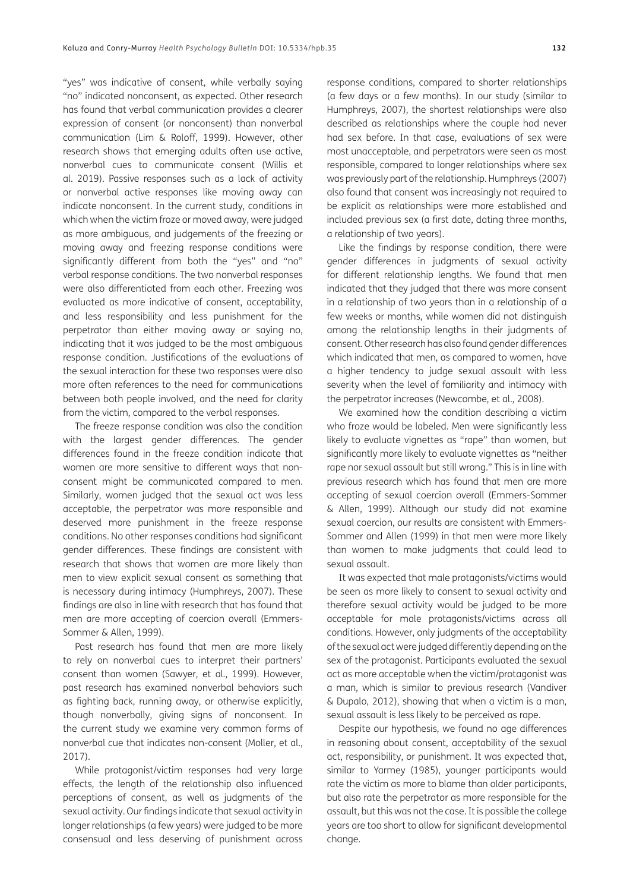"yes" was indicative of consent, while verbally saying "no" indicated nonconsent, as expected. Other research has found that verbal communication provides a clearer expression of consent (or nonconsent) than nonverbal communication (Lim & Roloff, 1999). However, other research shows that emerging adults often use active, nonverbal cues to communicate consent (Willis et al. 2019). Passive responses such as a lack of activity or nonverbal active responses like moving away can indicate nonconsent. In the current study, conditions in which when the victim froze or moved away, were judged as more ambiguous, and judgements of the freezing or moving away and freezing response conditions were significantly different from both the "yes" and "no" verbal response conditions. The two nonverbal responses were also differentiated from each other. Freezing was evaluated as more indicative of consent, acceptability, and less responsibility and less punishment for the perpetrator than either moving away or saying no, indicating that it was judged to be the most ambiguous response condition. Justifications of the evaluations of the sexual interaction for these two responses were also more often references to the need for communications between both people involved, and the need for clarity from the victim, compared to the verbal responses.

The freeze response condition was also the condition with the largest gender differences. The gender differences found in the freeze condition indicate that women are more sensitive to different ways that nonconsent might be communicated compared to men. Similarly, women judged that the sexual act was less acceptable, the perpetrator was more responsible and deserved more punishment in the freeze response conditions. No other responses conditions had significant gender differences. These findings are consistent with research that shows that women are more likely than men to view explicit sexual consent as something that is necessary during intimacy (Humphreys, 2007). These findings are also in line with research that has found that men are more accepting of coercion overall (Emmers-Sommer & Allen, 1999).

Past research has found that men are more likely to rely on nonverbal cues to interpret their partners' consent than women (Sawyer, et al., 1999). However, past research has examined nonverbal behaviors such as fighting back, running away, or otherwise explicitly, though nonverbally, giving signs of nonconsent. In the current study we examine very common forms of nonverbal cue that indicates non-consent (Moller, et al., 2017).

While protagonist/victim responses had very large effects, the length of the relationship also influenced perceptions of consent, as well as judgments of the sexual activity. Our findings indicate that sexual activity in longer relationships (a few years) were judged to be more consensual and less deserving of punishment across

response conditions, compared to shorter relationships (a few days or a few months). In our study (similar to Humphreys, 2007), the shortest relationships were also described as relationships where the couple had never had sex before. In that case, evaluations of sex were most unacceptable, and perpetrators were seen as most responsible, compared to longer relationships where sex was previously part of the relationship. Humphreys (2007) also found that consent was increasingly not required to be explicit as relationships were more established and included previous sex (a first date, dating three months, a relationship of two years).

Like the findings by response condition, there were gender differences in judgments of sexual activity for different relationship lengths. We found that men indicated that they judged that there was more consent in a relationship of two years than in a relationship of a few weeks or months, while women did not distinguish among the relationship lengths in their judgments of consent. Other research has also found gender differences which indicated that men, as compared to women, have a higher tendency to judge sexual assault with less severity when the level of familiarity and intimacy with the perpetrator increases (Newcombe, et al., 2008).

We examined how the condition describing a victim who froze would be labeled. Men were significantly less likely to evaluate vignettes as "rape" than women, but significantly more likely to evaluate vignettes as "neither rape nor sexual assault but still wrong." This is in line with previous research which has found that men are more accepting of sexual coercion overall (Emmers-Sommer & Allen, 1999). Although our study did not examine sexual coercion, our results are consistent with Emmers-Sommer and Allen (1999) in that men were more likely than women to make judgments that could lead to sexual assault.

It was expected that male protagonists/victims would be seen as more likely to consent to sexual activity and therefore sexual activity would be judged to be more acceptable for male protagonists/victims across all conditions. However, only judgments of the acceptability of the sexual act were judged differently depending on the sex of the protagonist. Participants evaluated the sexual act as more acceptable when the victim/protagonist was a man, which is similar to previous research (Vandiver & Dupalo, 2012), showing that when a victim is a man, sexual assault is less likely to be perceived as rape.

Despite our hypothesis, we found no age differences in reasoning about consent, acceptability of the sexual act, responsibility, or punishment. It was expected that, similar to Yarmey (1985), younger participants would rate the victim as more to blame than older participants, but also rate the perpetrator as more responsible for the assault, but this was not the case. It is possible the college years are too short to allow for significant developmental change.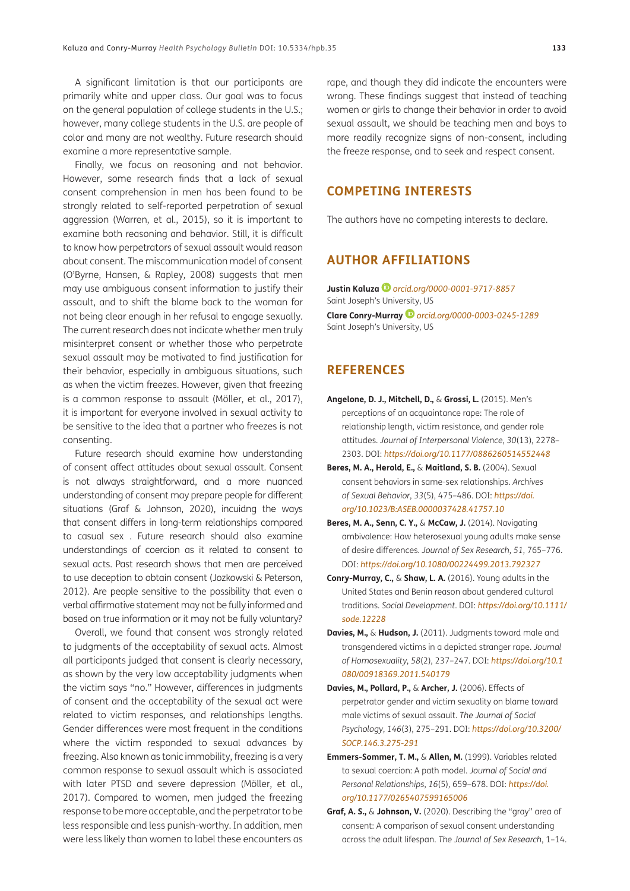A significant limitation is that our participants are primarily white and upper class. Our goal was to focus on the general population of college students in the U.S.; however, many college students in the U.S. are people of color and many are not wealthy. Future research should examine a more representative sample.

Finally, we focus on reasoning and not behavior. However, some research finds that a lack of sexual consent comprehension in men has been found to be strongly related to self-reported perpetration of sexual aggression (Warren, et al., 2015), so it is important to examine both reasoning and behavior. Still, it is difficult to know how perpetrators of sexual assault would reason about consent. The miscommunication model of consent (O'Byrne, Hansen, & Rapley, 2008) suggests that men may use ambiguous consent information to justify their assault, and to shift the blame back to the woman for not being clear enough in her refusal to engage sexually. The current research does not indicate whether men truly misinterpret consent or whether those who perpetrate sexual assault may be motivated to find justification for their behavior, especially in ambiguous situations, such as when the victim freezes. However, given that freezing is a common response to assault (Möller, et al., 2017), it is important for everyone involved in sexual activity to be sensitive to the idea that a partner who freezes is not consenting.

Future research should examine how understanding of consent affect attitudes about sexual assault. Consent is not always straightforward, and a more nuanced understanding of consent may prepare people for different situations (Graf & Johnson, 2020), incuidng the ways that consent differs in long-term relationships compared to casual sex . Future research should also examine understandings of coercion as it related to consent to sexual acts. Past research shows that men are perceived to use deception to obtain consent (Jozkowski & Peterson, 2012). Are people sensitive to the possibility that even a verbal affirmative statement may not be fully informed and based on true information or it may not be fully voluntary?

Overall, we found that consent was strongly related to judgments of the acceptability of sexual acts. Almost all participants judged that consent is clearly necessary, as shown by the very low acceptability judgments when the victim says "no." However, differences in judgments of consent and the acceptability of the sexual act were related to victim responses, and relationships lengths. Gender differences were most frequent in the conditions where the victim responded to sexual advances by freezing. Also known as tonic immobility, freezing is a very common response to sexual assault which is associated with later PTSD and severe depression (Möller, et al., 2017). Compared to women, men judged the freezing response to be more acceptable, and the perpetrator to be less responsible and less punish-worthy. In addition, men were less likely than women to label these encounters as

rape, and though they did indicate the encounters were wrong. These findings suggest that instead of teaching women or girls to change their behavior in order to avoid sexual assault, we should be teaching men and boys to more readily recognize signs of non-consent, including the freeze response, and to seek and respect consent.

# **COMPETING INTERESTS**

The authors have no competing interests to declare.

# <span id="page-9-0"></span>**AUTHOR AFFILIATIONS**

**Justin Kaluza** *[orcid.org/0000-0001-9717-8857](https://orcid.org/0000-0001-9717-8857)* Saint Joseph's University, US **Clare Conry-Murray***[orcid.org/0000-0003-0245-1289](https://orcid.org/0000-0003-0245-1289)* Saint Joseph's University, US

# **REFERENCES**

- **Angelone, D. J., Mitchell, D.,** & **Grossi, L.** (2015). Men's perceptions of an acquaintance rape: The role of relationship length, victim resistance, and gender role attitudes. *Journal of Interpersonal Violence*, *30*(13), 2278– 2303. DOI: *<https://doi.org/10.1177/0886260514552448>*
- **Beres, M. A., Herold, E.,** & **Maitland, S. B.** (2004). Sexual consent behaviors in same-sex relationships. *Archives of Sexual Behavior*, *33*(5), 475–486. DOI: *[https://doi.](https://doi.org/10.1023/B:ASEB.0000037428.41757.10) [org/10.1023/B:ASEB.0000037428.41757.10](https://doi.org/10.1023/B:ASEB.0000037428.41757.10)*
- **Beres, M. A., Senn, C. Y.,** & **McCaw, J.** (2014). Navigating ambivalence: How heterosexual young adults make sense of desire differences. *Journal of Sex Research*, *51*, 765–776. DOI: *<https://doi.org/10.1080/00224499.2013.792327>*
- **Conry-Murray, C.,** & **Shaw, L. A.** (2016). Young adults in the United States and Benin reason about gendered cultural traditions. *Social Development*. DOI: *[https://doi.org/10.1111/](https://doi.org/10.1111/sode.12228) [sode.12228](https://doi.org/10.1111/sode.12228)*
- **Davies, M.,** & **Hudson, J.** (2011). Judgments toward male and transgendered victims in a depicted stranger rape. *Journal of Homosexuality*, *58*(2), 237–247. DOI: *[https://doi.org/10.1](https://doi.org/10.1080/00918369.2011.540179) [080/00918369.2011.540179](https://doi.org/10.1080/00918369.2011.540179)*
- **Davies, M., Pollard, P.,** & **Archer, J.** (2006). Effects of perpetrator gender and victim sexuality on blame toward male victims of sexual assault. *The Journal of Social Psychology*, *146*(3), 275–291. DOI: *[https://doi.org/10.3200/](https://doi.org/10.3200/SOCP.146.3.275-291) [SOCP.146.3.275-291](https://doi.org/10.3200/SOCP.146.3.275-291)*
- **Emmers-Sommer, T. M.,** & **Allen, M.** (1999). Variables related to sexual coercion: A path model. *Journal of Social and Personal Relationships*, *16*(5), 659–678. DOI: *[https://doi.](https://doi.org/10.1177/0265407599165006) [org/10.1177/0265407599165006](https://doi.org/10.1177/0265407599165006)*
- **Graf, A. S.,** & **Johnson, V.** (2020). Describing the "gray" area of consent: A comparison of sexual consent understanding across the adult lifespan. *The Journal of Sex Research*, 1–14.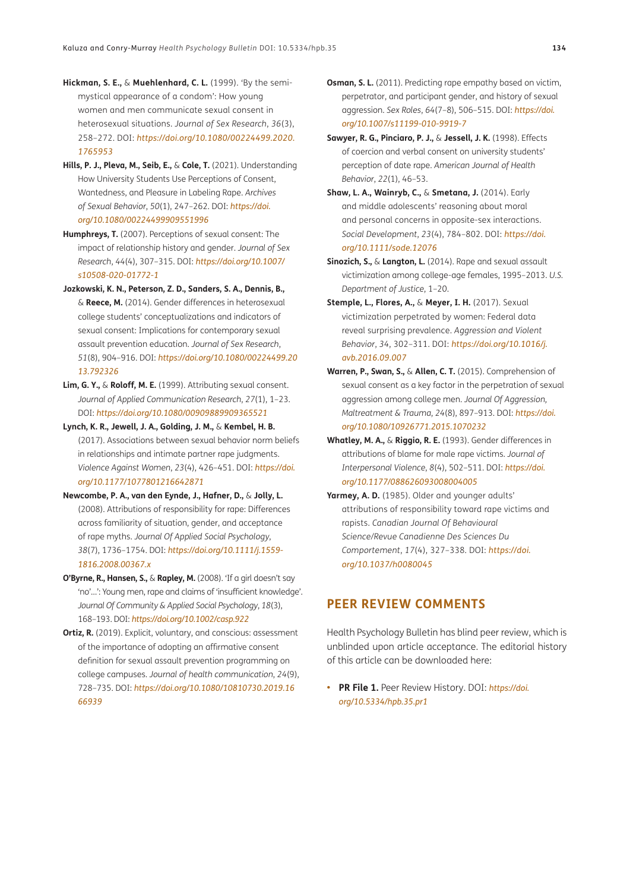- **Hickman, S. E.,** & **Muehlenhard, C. L.** (1999). 'By the semimystical appearance of a condom': How young women and men communicate sexual consent in heterosexual situations. *Journal of Sex Research*, *36*(3), 258–272. DOI: *[https://doi.org/10.1080/00224499.2020.](https://doi.org/10.1080/00224499.2020.1765953) [1765953](https://doi.org/10.1080/00224499.2020.1765953)*
- **Hills, P. J., Pleva, M., Seib, E.,** & **Cole, T.** (2021). Understanding How University Students Use Perceptions of Consent, Wantedness, and Pleasure in Labeling Rape. *Archives of Sexual Behavior*, *50*(1), 247–262. DOI: *[https://doi.](https://doi.org/10.1080/00224499909551996) [org/10.1080/00224499909551996](https://doi.org/10.1080/00224499909551996)*
- **Humphreys, T.** (2007). Perceptions of sexual consent: The impact of relationship history and gender. *Journal of Sex Research*, *44*(4), 307–315. DOI: *[https://doi.org/10.1007/](https://doi.org/10.1007/s10508-020-01772-1) [s10508-020-01772-1](https://doi.org/10.1007/s10508-020-01772-1)*
- **Jozkowski, K. N., Peterson, Z. D., Sanders, S. A., Dennis, B.,**  & **Reece, M.** (2014). Gender differences in heterosexual college students' conceptualizations and indicators of sexual consent: Implications for contemporary sexual assault prevention education. *Journal of Sex Research*, *51*(8), 904–916. DOI: *[https://doi.org/10.1080/00224499.20](https://doi.org/10.1080/00224499.2013.792326) [13.792326](https://doi.org/10.1080/00224499.2013.792326)*
- **Lim, G. Y.,** & **Roloff, M. E.** (1999). Attributing sexual consent. *Journal of Applied Communication Research*, *27*(1), 1–23. DOI: *<https://doi.org/10.1080/00909889909365521>*
- **Lynch, K. R., Jewell, J. A., Golding, J. M.,** & **Kembel, H. B.** (2017). Associations between sexual behavior norm beliefs in relationships and intimate partner rape judgments. *Violence Against Women*, *23*(4), 426–451. DOI: *[https://doi.](https://doi.org/10.1177/1077801216642871) [org/10.1177/1077801216642871](https://doi.org/10.1177/1077801216642871)*
- **Newcombe, P. A., van den Eynde, J., Hafner, D.,** & **Jolly, L.** (2008). Attributions of responsibility for rape: Differences across familiarity of situation, gender, and acceptance of rape myths. *Journal Of Applied Social Psychology*, *38*(7), 1736–1754. DOI: *[https://doi.org/10.1111/j.1559-](https://doi.org/10.1111/j.1559-1816.2008.00367.x) [1816.2008.00367.x](https://doi.org/10.1111/j.1559-1816.2008.00367.x)*
- **O'Byrne, R., Hansen, S.,** & **Rapley, M.** (2008). 'If a girl doesn't say 'no'…': Young men, rape and claims of 'insufficient knowledge'. *Journal Of Community & Applied Social Psychology*, *18*(3), 168–193. DOI: *<https://doi.org/10.1002/casp.922>*
- **Ortiz, R.** (2019). Explicit, voluntary, and conscious: assessment of the importance of adopting an affirmative consent definition for sexual assault prevention programming on college campuses. *Journal of health communication*, *24*(9), 728–735. DOI: *[https://doi.org/10.1080/10810730.2019.16](https://doi.org/10.1080/10810730.2019.1666939) [66939](https://doi.org/10.1080/10810730.2019.1666939)*
- **Osman, S. L.** (2011). Predicting rape empathy based on victim, perpetrator, and participant gender, and history of sexual aggression. *Sex Roles*, *64*(7–8), 506–515. DOI: *[https://doi.](https://doi.org/10.1007/s11199-010-9919-7) [org/10.1007/s11199-010-9919-7](https://doi.org/10.1007/s11199-010-9919-7)*
- **Sawyer, R. G., Pinciaro, P. J.,** & **Jessell, J. K.** (1998). Effects of coercion and verbal consent on university students' perception of date rape. *American Journal of Health Behavior*, *22*(1), 46–53.
- **Shaw, L. A., Wainryb, C.,** & **Smetana, J.** (2014). Early and middle adolescents' reasoning about moral and personal concerns in opposite-sex interactions. *Social Development*, *23*(4), 784–802. DOI: *[https://doi.](https://doi.org/10.1111/sode.12076) [org/10.1111/sode.12076](https://doi.org/10.1111/sode.12076)*
- **Sinozich, S.,** & **Langton, L.** (2014). Rape and sexual assault victimization among college-age females, 1995–2013. *U.S. Department of Justice*, 1–20.
- **Stemple, L., Flores, A.,** & **Meyer, I. H.** (2017). Sexual victimization perpetrated by women: Federal data reveal surprising prevalence. *Aggression and Violent Behavior*, *34*, 302–311. DOI: *[https://doi.org/10.1016/j.](https://doi.org/10.1016/j.avb.2016.09.007) [avb.2016.09.007](https://doi.org/10.1016/j.avb.2016.09.007)*
- **Warren, P., Swan, S.,** & **Allen, C. T.** (2015). Comprehension of sexual consent as a key factor in the perpetration of sexual aggression among college men. *Journal Of Aggression, Maltreatment & Trauma*, *24*(8), 897–913. DOI: *[https://doi.](https://doi.org/10.1080/10926771.2015.1070232) [org/10.1080/10926771.2015.1070232](https://doi.org/10.1080/10926771.2015.1070232)*
- **Whatley, M. A.,** & **Riggio, R. E.** (1993). Gender differences in attributions of blame for male rape victims. *Journal of Interpersonal Violence*, *8*(4), 502–511. DOI: *[https://doi.](https://doi.org/10.1177/088626093008004005) [org/10.1177/088626093008004005](https://doi.org/10.1177/088626093008004005)*
- **Yarmey, A. D.** (1985). Older and younger adults' attributions of responsibility toward rape victims and rapists. *Canadian Journal Of Behavioural Science/Revue Canadienne Des Sciences Du Comportement*, *17*(4), 327–338. DOI: *[https://doi.](https://doi.org/10.1037/h0080045) [org/10.1037/h0080045](https://doi.org/10.1037/h0080045)*

# **PEER REVIEW COMMENTS**

Health Psychology Bulletin has blind peer review, which is unblinded upon article acceptance. The editorial history of this article can be downloaded here:

**• PR File 1.** Peer Review History. DOI: *[https://doi.](https://doi.org/10.5334/hpb.35.pr1) [org/10.5334/hpb.35.pr1](https://doi.org/10.5334/hpb.35.pr1)*